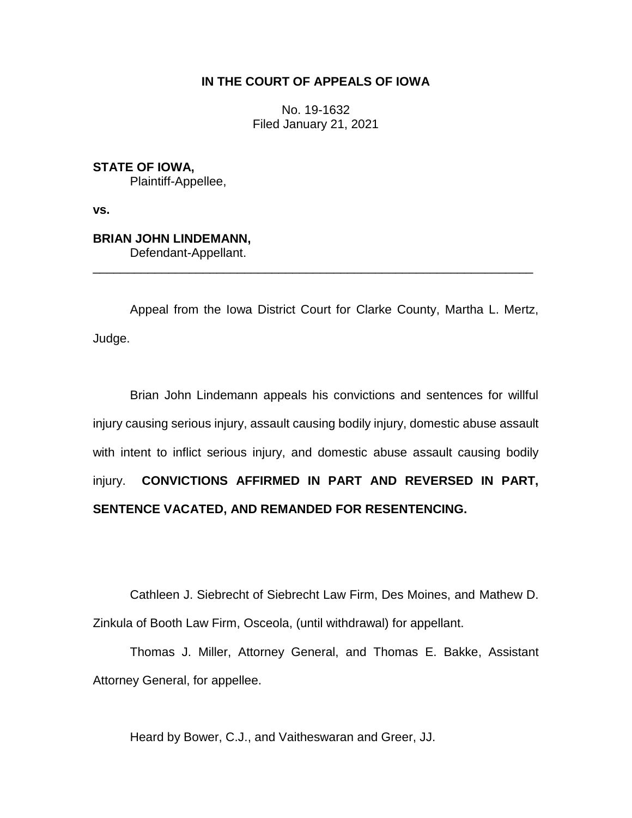## **IN THE COURT OF APPEALS OF IOWA**

No. 19-1632 Filed January 21, 2021

**STATE OF IOWA,** Plaintiff-Appellee,

**vs.**

# **BRIAN JOHN LINDEMANN,**

Defendant-Appellant.

Appeal from the Iowa District Court for Clarke County, Martha L. Mertz, Judge.

\_\_\_\_\_\_\_\_\_\_\_\_\_\_\_\_\_\_\_\_\_\_\_\_\_\_\_\_\_\_\_\_\_\_\_\_\_\_\_\_\_\_\_\_\_\_\_\_\_\_\_\_\_\_\_\_\_\_\_\_\_\_\_\_

Brian John Lindemann appeals his convictions and sentences for willful injury causing serious injury, assault causing bodily injury, domestic abuse assault with intent to inflict serious injury, and domestic abuse assault causing bodily injury. **CONVICTIONS AFFIRMED IN PART AND REVERSED IN PART, SENTENCE VACATED, AND REMANDED FOR RESENTENCING.**

Cathleen J. Siebrecht of Siebrecht Law Firm, Des Moines, and Mathew D. Zinkula of Booth Law Firm, Osceola, (until withdrawal) for appellant.

Thomas J. Miller, Attorney General, and Thomas E. Bakke, Assistant Attorney General, for appellee.

Heard by Bower, C.J., and Vaitheswaran and Greer, JJ.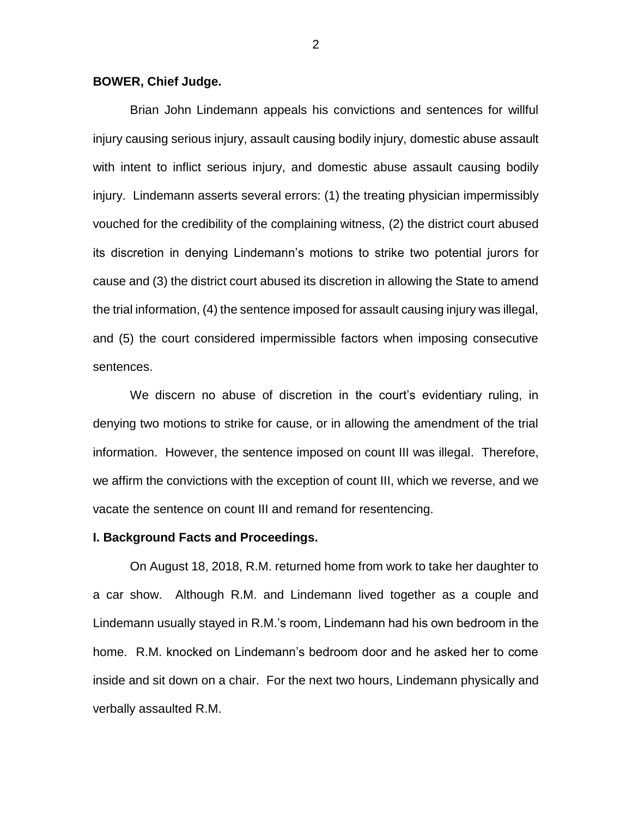#### **BOWER, Chief Judge.**

Brian John Lindemann appeals his convictions and sentences for willful injury causing serious injury, assault causing bodily injury, domestic abuse assault with intent to inflict serious injury, and domestic abuse assault causing bodily injury. Lindemann asserts several errors: (1) the treating physician impermissibly vouched for the credibility of the complaining witness, (2) the district court abused its discretion in denying Lindemann's motions to strike two potential jurors for cause and (3) the district court abused its discretion in allowing the State to amend the trial information, (4) the sentence imposed for assault causing injury was illegal, and (5) the court considered impermissible factors when imposing consecutive sentences.

We discern no abuse of discretion in the court's evidentiary ruling, in denying two motions to strike for cause, or in allowing the amendment of the trial information. However, the sentence imposed on count III was illegal. Therefore, we affirm the convictions with the exception of count III, which we reverse, and we vacate the sentence on count III and remand for resentencing.

#### **I. Background Facts and Proceedings.**

On August 18, 2018, R.M. returned home from work to take her daughter to a car show. Although R.M. and Lindemann lived together as a couple and Lindemann usually stayed in R.M.'s room, Lindemann had his own bedroom in the home. R.M. knocked on Lindemann's bedroom door and he asked her to come inside and sit down on a chair. For the next two hours, Lindemann physically and verbally assaulted R.M.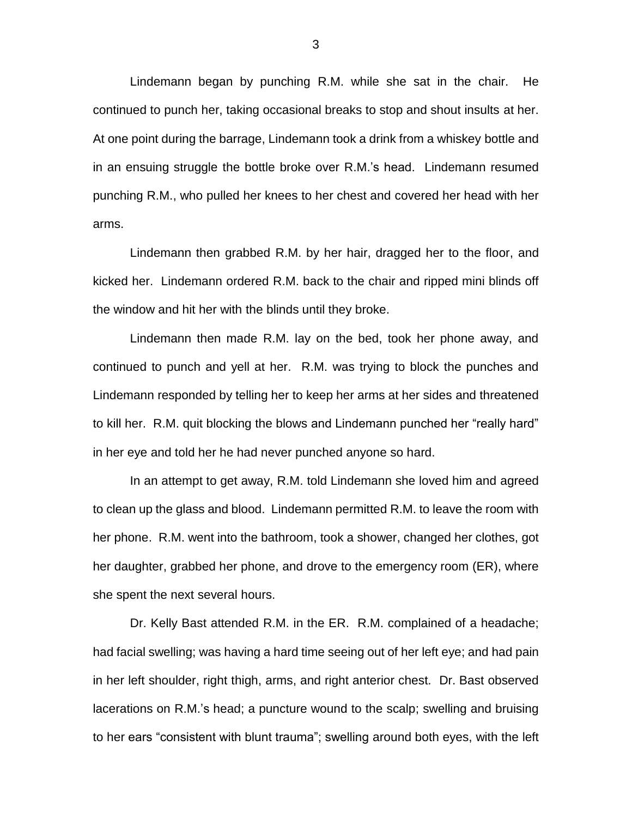Lindemann began by punching R.M. while she sat in the chair. He continued to punch her, taking occasional breaks to stop and shout insults at her. At one point during the barrage, Lindemann took a drink from a whiskey bottle and in an ensuing struggle the bottle broke over R.M.'s head. Lindemann resumed punching R.M., who pulled her knees to her chest and covered her head with her arms.

Lindemann then grabbed R.M. by her hair, dragged her to the floor, and kicked her. Lindemann ordered R.M. back to the chair and ripped mini blinds off the window and hit her with the blinds until they broke.

Lindemann then made R.M. lay on the bed, took her phone away, and continued to punch and yell at her. R.M. was trying to block the punches and Lindemann responded by telling her to keep her arms at her sides and threatened to kill her. R.M. quit blocking the blows and Lindemann punched her "really hard" in her eye and told her he had never punched anyone so hard.

In an attempt to get away, R.M. told Lindemann she loved him and agreed to clean up the glass and blood. Lindemann permitted R.M. to leave the room with her phone. R.M. went into the bathroom, took a shower, changed her clothes, got her daughter, grabbed her phone, and drove to the emergency room (ER), where she spent the next several hours.

Dr. Kelly Bast attended R.M. in the ER. R.M. complained of a headache; had facial swelling; was having a hard time seeing out of her left eye; and had pain in her left shoulder, right thigh, arms, and right anterior chest. Dr. Bast observed lacerations on R.M.'s head; a puncture wound to the scalp; swelling and bruising to her ears "consistent with blunt trauma"; swelling around both eyes, with the left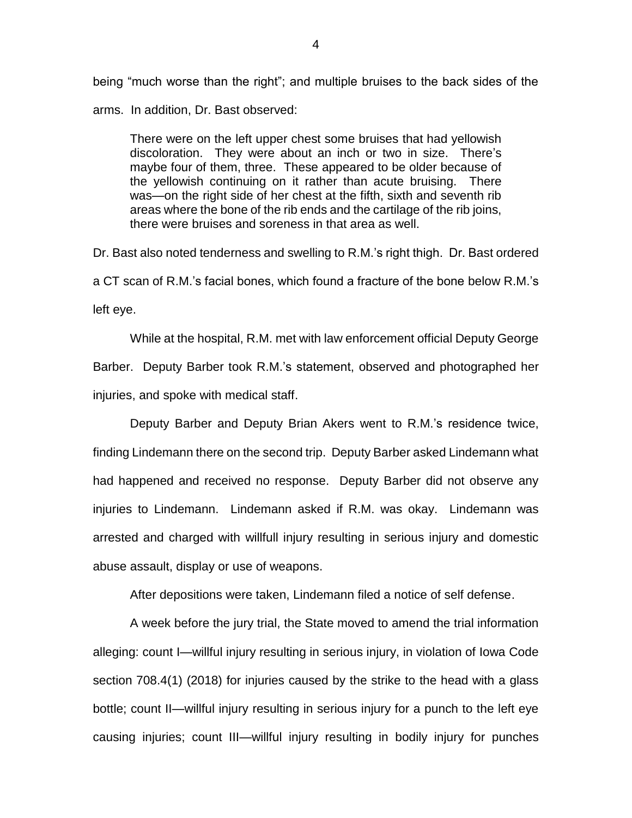being "much worse than the right"; and multiple bruises to the back sides of the arms. In addition, Dr. Bast observed:

There were on the left upper chest some bruises that had yellowish discoloration. They were about an inch or two in size. There's maybe four of them, three. These appeared to be older because of the yellowish continuing on it rather than acute bruising. There was—on the right side of her chest at the fifth, sixth and seventh rib areas where the bone of the rib ends and the cartilage of the rib joins, there were bruises and soreness in that area as well.

Dr. Bast also noted tenderness and swelling to R.M.'s right thigh. Dr. Bast ordered a CT scan of R.M.'s facial bones, which found a fracture of the bone below R.M.'s left eye.

While at the hospital, R.M. met with law enforcement official Deputy George Barber. Deputy Barber took R.M.'s statement, observed and photographed her injuries, and spoke with medical staff.

Deputy Barber and Deputy Brian Akers went to R.M.'s residence twice, finding Lindemann there on the second trip. Deputy Barber asked Lindemann what had happened and received no response. Deputy Barber did not observe any injuries to Lindemann. Lindemann asked if R.M. was okay. Lindemann was arrested and charged with willfull injury resulting in serious injury and domestic abuse assault, display or use of weapons.

After depositions were taken, Lindemann filed a notice of self defense.

A week before the jury trial, the State moved to amend the trial information alleging: count I—willful injury resulting in serious injury, in violation of Iowa Code section 708.4(1) (2018) for injuries caused by the strike to the head with a glass bottle; count II—willful injury resulting in serious injury for a punch to the left eye causing injuries; count III—willful injury resulting in bodily injury for punches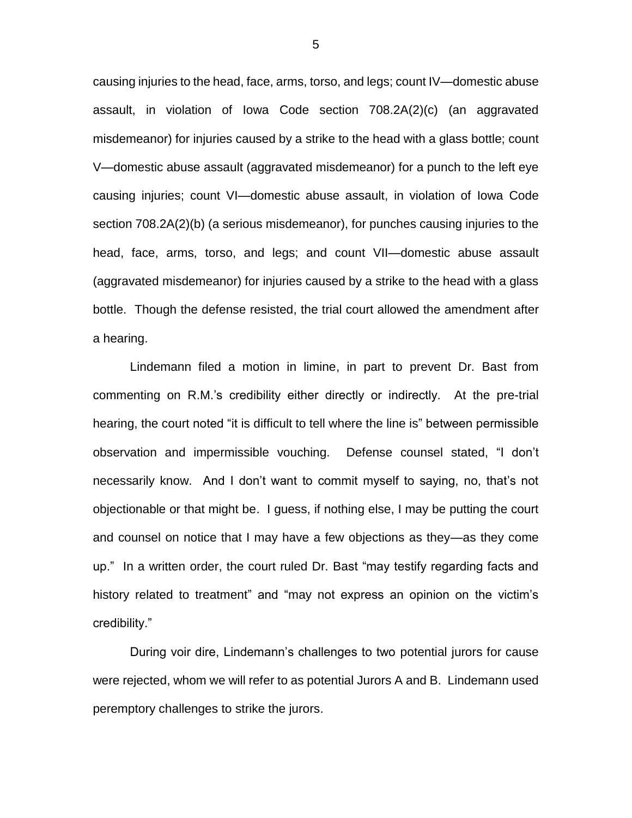causing injuries to the head, face, arms, torso, and legs; count IV—domestic abuse assault, in violation of Iowa Code section 708.2A(2)(c) (an aggravated misdemeanor) for injuries caused by a strike to the head with a glass bottle; count V—domestic abuse assault (aggravated misdemeanor) for a punch to the left eye causing injuries; count VI—domestic abuse assault, in violation of Iowa Code section 708.2A(2)(b) (a serious misdemeanor), for punches causing injuries to the head, face, arms, torso, and legs; and count VII—domestic abuse assault (aggravated misdemeanor) for injuries caused by a strike to the head with a glass bottle. Though the defense resisted, the trial court allowed the amendment after a hearing.

Lindemann filed a motion in limine, in part to prevent Dr. Bast from commenting on R.M.'s credibility either directly or indirectly. At the pre-trial hearing, the court noted "it is difficult to tell where the line is" between permissible observation and impermissible vouching. Defense counsel stated, "I don't necessarily know. And I don't want to commit myself to saying, no, that's not objectionable or that might be. I guess, if nothing else, I may be putting the court and counsel on notice that I may have a few objections as they—as they come up." In a written order, the court ruled Dr. Bast "may testify regarding facts and history related to treatment" and "may not express an opinion on the victim's credibility."

During voir dire, Lindemann's challenges to two potential jurors for cause were rejected, whom we will refer to as potential Jurors A and B. Lindemann used peremptory challenges to strike the jurors.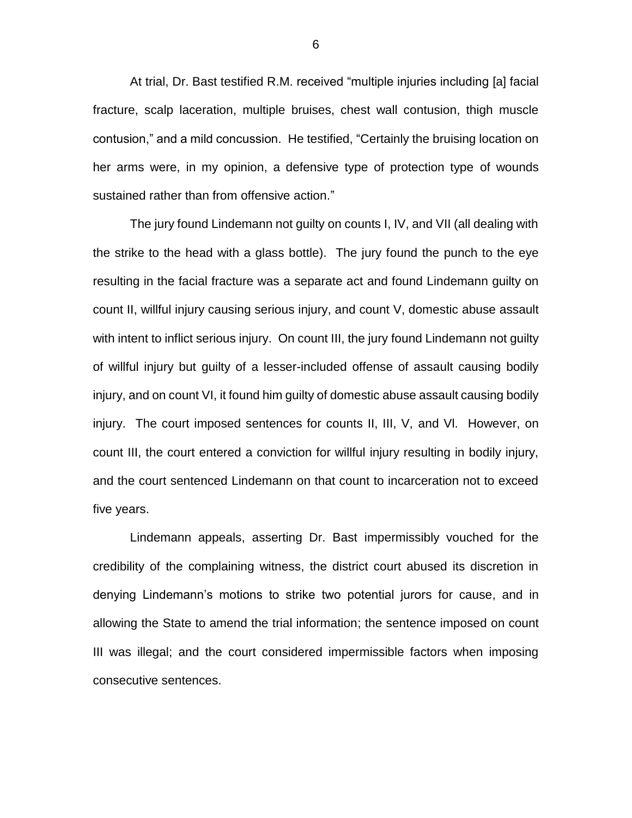At trial, Dr. Bast testified R.M. received "multiple injuries including [a] facial fracture, scalp laceration, multiple bruises, chest wall contusion, thigh muscle contusion," and a mild concussion. He testified, "Certainly the bruising location on her arms were, in my opinion, a defensive type of protection type of wounds sustained rather than from offensive action."

The jury found Lindemann not guilty on counts I, IV, and VII (all dealing with the strike to the head with a glass bottle). The jury found the punch to the eye resulting in the facial fracture was a separate act and found Lindemann guilty on count II, willful injury causing serious injury, and count V, domestic abuse assault with intent to inflict serious injury. On count III, the jury found Lindemann not guilty of willful injury but guilty of a lesser-included offense of assault causing bodily injury, and on count VI, it found him guilty of domestic abuse assault causing bodily injury. The court imposed sentences for counts II, III, V, and Vl. However, on count III, the court entered a conviction for willful injury resulting in bodily injury, and the court sentenced Lindemann on that count to incarceration not to exceed five years.

Lindemann appeals, asserting Dr. Bast impermissibly vouched for the credibility of the complaining witness, the district court abused its discretion in denying Lindemann's motions to strike two potential jurors for cause, and in allowing the State to amend the trial information; the sentence imposed on count III was illegal; and the court considered impermissible factors when imposing consecutive sentences.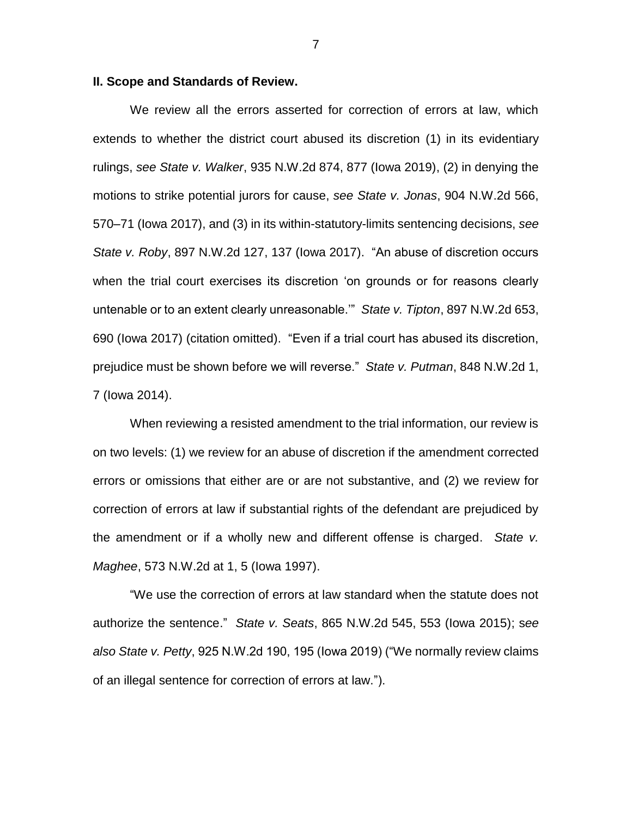#### **II. Scope and Standards of Review.**

We review all the errors asserted for correction of errors at law, which extends to whether the district court abused its discretion (1) in its evidentiary rulings, *see State v. Walker*, 935 N.W.2d 874, 877 (Iowa 2019), (2) in denying the motions to strike potential jurors for cause, *see State v. Jonas*, 904 N.W.2d 566, 570–71 (Iowa 2017), and (3) in its within-statutory-limits sentencing decisions, *see State v. Roby*, 897 N.W.2d 127, 137 (Iowa 2017). "An abuse of discretion occurs when the trial court exercises its discretion 'on grounds or for reasons clearly untenable or to an extent clearly unreasonable.'" *State v. Tipton*, 897 N.W.2d 653, 690 (Iowa 2017) (citation omitted). "Even if a trial court has abused its discretion, prejudice must be shown before we will reverse." *State v. Putman*, 848 N.W.2d 1, 7 (Iowa 2014).

When reviewing a resisted amendment to the trial information, our review is on two levels: (1) we review for an abuse of discretion if the amendment corrected errors or omissions that either are or are not substantive, and (2) we review for correction of errors at law if substantial rights of the defendant are prejudiced by the amendment or if a wholly new and different offense is charged. *State v. Maghee*, 573 N.W.2d at 1, 5 (Iowa 1997).

"We use the correction of errors at law standard when the statute does not authorize the sentence." *State v. Seats*, 865 N.W.2d 545, 553 (Iowa 2015); s*ee also State v. Petty*, 925 N.W.2d 190, 195 (Iowa 2019) ("We normally review claims of an illegal sentence for correction of errors at law.").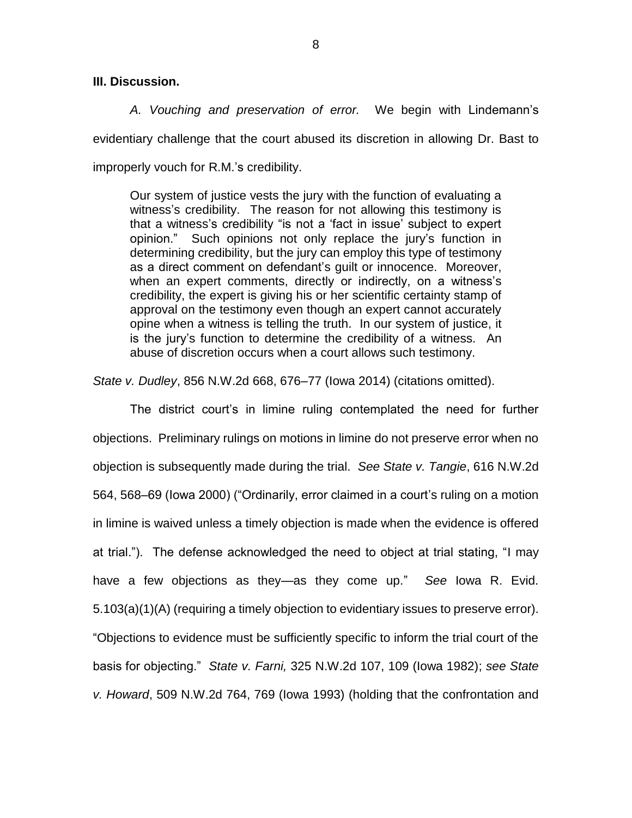### **III. Discussion.**

*A. Vouching and preservation of error.* We begin with Lindemann's evidentiary challenge that the court abused its discretion in allowing Dr. Bast to improperly vouch for R.M.'s credibility.

Our system of justice vests the jury with the function of evaluating a witness's credibility. The reason for not allowing this testimony is that a witness's credibility "is not a 'fact in issue' subject to expert opinion." Such opinions not only replace the jury's function in determining credibility, but the jury can employ this type of testimony as a direct comment on defendant's guilt or innocence. Moreover, when an expert comments, directly or indirectly, on a witness's credibility, the expert is giving his or her scientific certainty stamp of approval on the testimony even though an expert cannot accurately opine when a witness is telling the truth. In our system of justice, it is the jury's function to determine the credibility of a witness. An abuse of discretion occurs when a court allows such testimony.

*State v. Dudley*, 856 N.W.2d 668, 676–77 (Iowa 2014) (citations omitted).

The district court's in limine ruling contemplated the need for further objections. Preliminary rulings on motions in limine do not preserve error when no objection is subsequently made during the trial. *See State v. Tangie*, 616 N.W.2d 564, 568–69 (Iowa 2000) ("Ordinarily, error claimed in a court's ruling on a motion in limine is waived unless a timely objection is made when the evidence is offered at trial."). The defense acknowledged the need to object at trial stating, "I may have a few objections as they—as they come up." *See* Iowa R. Evid. 5.103(a)(1)(A) (requiring a timely objection to evidentiary issues to preserve error). "Objections to evidence must be sufficiently specific to inform the trial court of the basis for objecting." *State v. Farni,* 325 N.W.2d 107, 109 (Iowa 1982); *see State v. Howard*, 509 N.W.2d 764, 769 (Iowa 1993) (holding that the confrontation and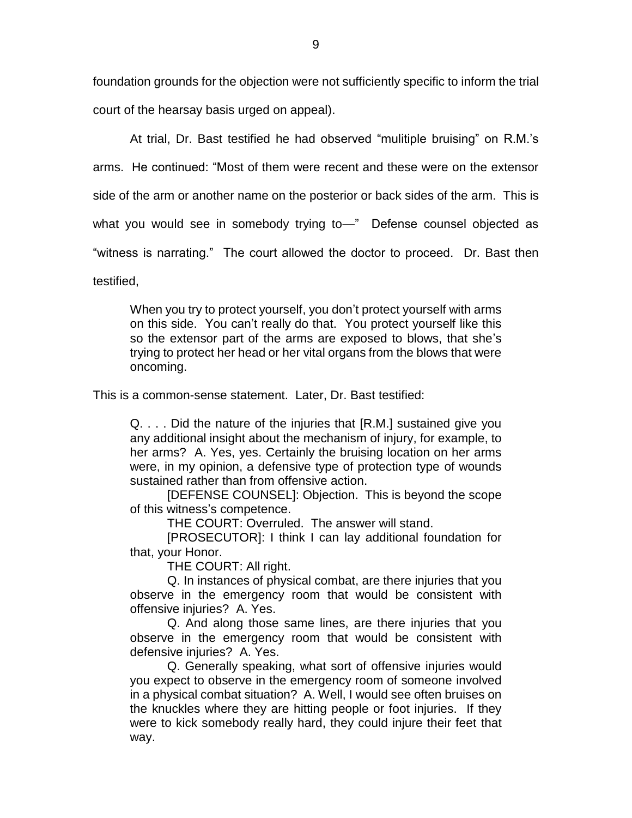foundation grounds for the objection were not sufficiently specific to inform the trial court of the hearsay basis urged on appeal).

At trial, Dr. Bast testified he had observed "mulitiple bruising" on R.M.'s arms. He continued: "Most of them were recent and these were on the extensor side of the arm or another name on the posterior or back sides of the arm. This is what you would see in somebody trying to—" Defense counsel objected as "witness is narrating." The court allowed the doctor to proceed. Dr. Bast then

testified,

When you try to protect yourself, you don't protect yourself with arms on this side. You can't really do that. You protect yourself like this so the extensor part of the arms are exposed to blows, that she's trying to protect her head or her vital organs from the blows that were oncoming.

This is a common-sense statement. Later, Dr. Bast testified:

Q. . . . Did the nature of the injuries that [R.M.] sustained give you any additional insight about the mechanism of injury, for example, to her arms? A. Yes, yes. Certainly the bruising location on her arms were, in my opinion, a defensive type of protection type of wounds sustained rather than from offensive action.

[DEFENSE COUNSEL]: Objection. This is beyond the scope of this witness's competence.

THE COURT: Overruled. The answer will stand.

[PROSECUTOR]: I think I can lay additional foundation for that, your Honor.

THE COURT: All right.

Q. In instances of physical combat, are there injuries that you observe in the emergency room that would be consistent with offensive injuries? A. Yes.

Q. And along those same lines, are there injuries that you observe in the emergency room that would be consistent with defensive injuries? A. Yes.

Q. Generally speaking, what sort of offensive injuries would you expect to observe in the emergency room of someone involved in a physical combat situation? A. Well, I would see often bruises on the knuckles where they are hitting people or foot injuries. If they were to kick somebody really hard, they could injure their feet that way.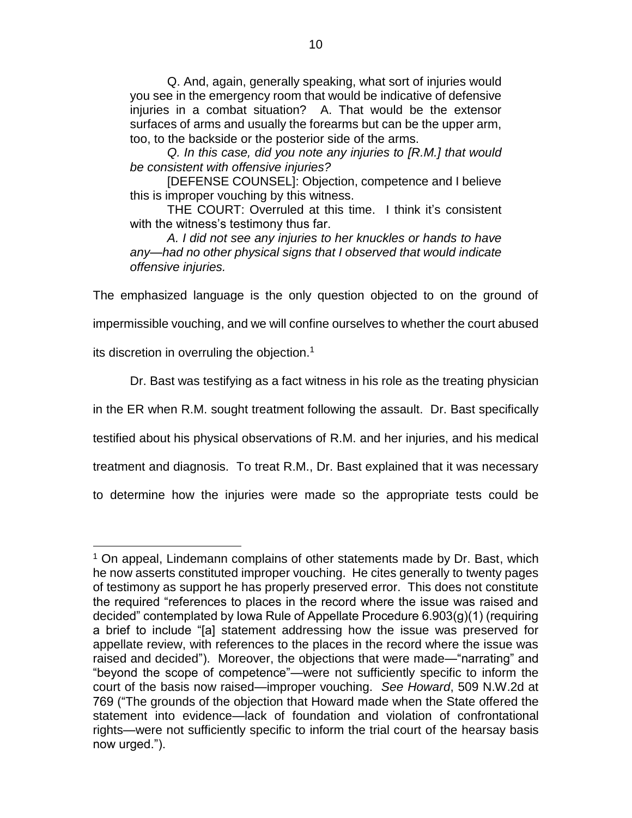Q. And, again, generally speaking, what sort of injuries would you see in the emergency room that would be indicative of defensive injuries in a combat situation? A. That would be the extensor surfaces of arms and usually the forearms but can be the upper arm, too, to the backside or the posterior side of the arms.

*Q. In this case, did you note any injuries to [R.M.] that would be consistent with offensive injuries?* 

[DEFENSE COUNSEL]: Objection, competence and I believe this is improper vouching by this witness.

THE COURT: Overruled at this time. I think it's consistent with the witness's testimony thus far.

*A. I did not see any injuries to her knuckles or hands to have any—had no other physical signs that I observed that would indicate offensive injuries.*

The emphasized language is the only question objected to on the ground of

impermissible vouching, and we will confine ourselves to whether the court abused

its discretion in overruling the objection.<sup>1</sup>

 $\overline{a}$ 

Dr. Bast was testifying as a fact witness in his role as the treating physician

in the ER when R.M. sought treatment following the assault. Dr. Bast specifically

testified about his physical observations of R.M. and her injuries, and his medical

treatment and diagnosis. To treat R.M., Dr. Bast explained that it was necessary

to determine how the injuries were made so the appropriate tests could be

<sup>&</sup>lt;sup>1</sup> On appeal, Lindemann complains of other statements made by Dr. Bast, which he now asserts constituted improper vouching. He cites generally to twenty pages of testimony as support he has properly preserved error. This does not constitute the required "references to places in the record where the issue was raised and decided" contemplated by Iowa Rule of Appellate Procedure 6.903(g)(1) (requiring a brief to include "[a] statement addressing how the issue was preserved for appellate review, with references to the places in the record where the issue was raised and decided"). Moreover, the objections that were made—"narrating" and "beyond the scope of competence"—were not sufficiently specific to inform the court of the basis now raised—improper vouching. *See Howard*, 509 N.W.2d at 769 ("The grounds of the objection that Howard made when the State offered the statement into evidence—lack of foundation and violation of confrontational rights—were not sufficiently specific to inform the trial court of the hearsay basis now urged.").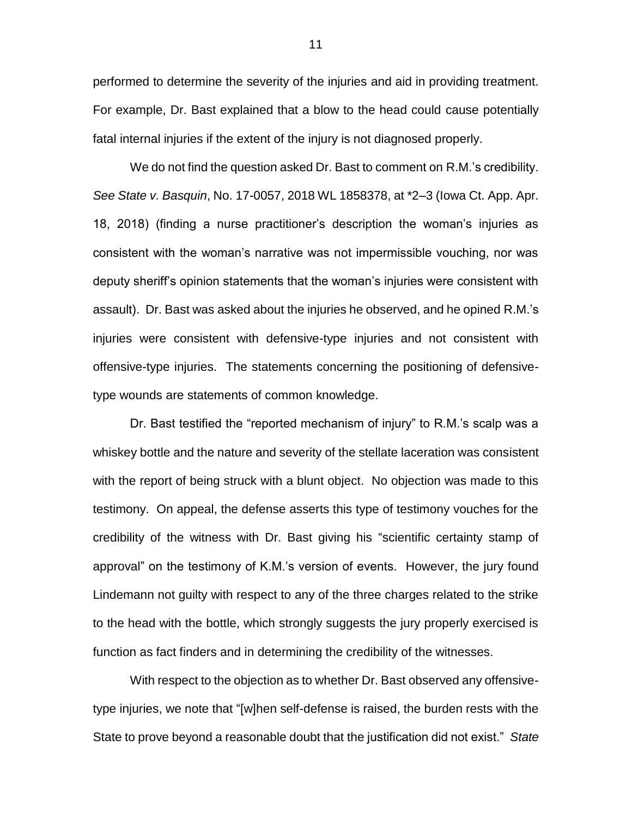performed to determine the severity of the injuries and aid in providing treatment. For example, Dr. Bast explained that a blow to the head could cause potentially fatal internal injuries if the extent of the injury is not diagnosed properly.

We do not find the question asked Dr. Bast to comment on R.M.'s credibility. *See State v. Basquin*, No. 17-0057, 2018 WL 1858378, at \*2–3 (Iowa Ct. App. Apr. 18, 2018) (finding a nurse practitioner's description the woman's injuries as consistent with the woman's narrative was not impermissible vouching, nor was deputy sheriff's opinion statements that the woman's injuries were consistent with assault). Dr. Bast was asked about the injuries he observed, and he opined R.M.'s injuries were consistent with defensive-type injuries and not consistent with offensive-type injuries. The statements concerning the positioning of defensivetype wounds are statements of common knowledge.

Dr. Bast testified the "reported mechanism of injury" to R.M.'s scalp was a whiskey bottle and the nature and severity of the stellate laceration was consistent with the report of being struck with a blunt object. No objection was made to this testimony. On appeal, the defense asserts this type of testimony vouches for the credibility of the witness with Dr. Bast giving his "scientific certainty stamp of approval" on the testimony of K.M.'s version of events. However, the jury found Lindemann not guilty with respect to any of the three charges related to the strike to the head with the bottle, which strongly suggests the jury properly exercised is function as fact finders and in determining the credibility of the witnesses.

With respect to the objection as to whether Dr. Bast observed any offensivetype injuries, we note that "[w]hen self-defense is raised, the burden rests with the State to prove beyond a reasonable doubt that the justification did not exist." *State*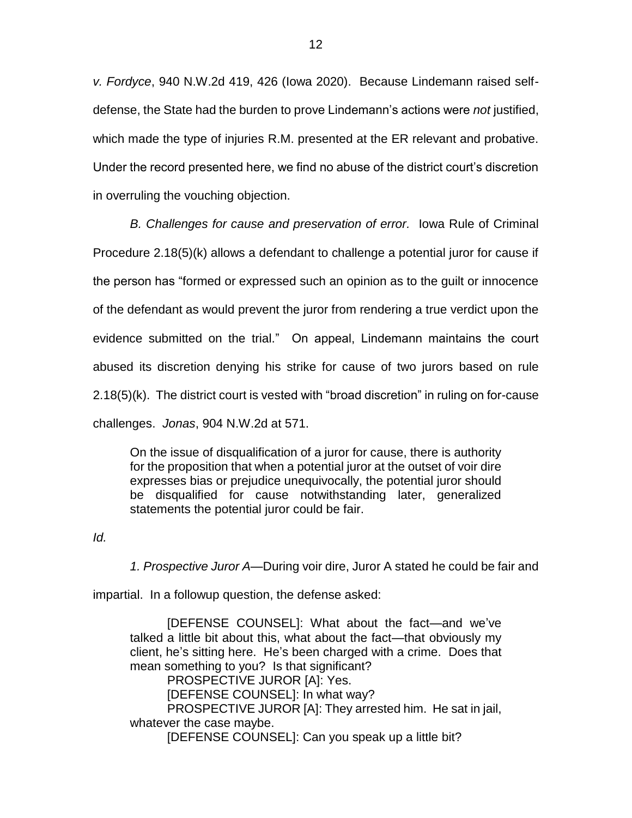*v. Fordyce*, 940 N.W.2d 419, 426 (Iowa 2020). Because Lindemann raised selfdefense, the State had the burden to prove Lindemann's actions were *not* justified, which made the type of injuries R.M. presented at the ER relevant and probative. Under the record presented here, we find no abuse of the district court's discretion in overruling the vouching objection.

*B. Challenges for cause and preservation of error.* Iowa Rule of Criminal Procedure 2.18(5)(k) allows a defendant to challenge a potential juror for cause if the person has "formed or expressed such an opinion as to the guilt or innocence of the defendant as would prevent the juror from rendering a true verdict upon the evidence submitted on the trial." On appeal, Lindemann maintains the court abused its discretion denying his strike for cause of two jurors based on rule 2.18(5)(k). The district court is vested with "broad discretion" in ruling on for-cause challenges. *Jonas*, 904 N.W.2d at 571.

On the issue of disqualification of a juror for cause, there is authority for the proposition that when a potential juror at the outset of voir dire expresses bias or prejudice unequivocally, the potential juror should be disqualified for cause notwithstanding later, generalized statements the potential juror could be fair.

*Id.*

*1. Prospective Juror A—*During voir dire, Juror A stated he could be fair and

impartial. In a followup question, the defense asked:

[DEFENSE COUNSEL]: What about the fact—and we've talked a little bit about this, what about the fact—that obviously my client, he's sitting here. He's been charged with a crime. Does that mean something to you? Is that significant? PROSPECTIVE JUROR [A]: Yes.

[DEFENSE COUNSEL]: In what way? PROSPECTIVE JUROR [A]: They arrested him. He sat in jail, whatever the case maybe.

[DEFENSE COUNSEL]: Can you speak up a little bit?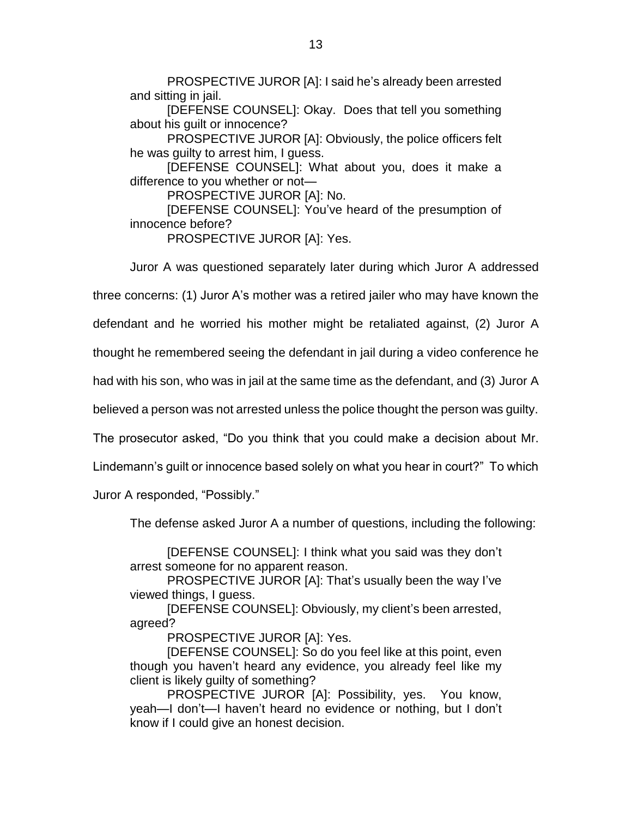PROSPECTIVE JUROR [A]: I said he's already been arrested and sitting in jail.

[DEFENSE COUNSEL]: Okay. Does that tell you something about his guilt or innocence?

PROSPECTIVE JUROR [A]: Obviously, the police officers felt he was guilty to arrest him, I guess.

[DEFENSE COUNSEL]: What about you, does it make a difference to you whether or not—

PROSPECTIVE JUROR [A]: No.

[DEFENSE COUNSEL]: You've heard of the presumption of innocence before?

PROSPECTIVE JUROR [A]: Yes.

Juror A was questioned separately later during which Juror A addressed

three concerns: (1) Juror A's mother was a retired jailer who may have known the

defendant and he worried his mother might be retaliated against, (2) Juror A

thought he remembered seeing the defendant in jail during a video conference he

had with his son, who was in jail at the same time as the defendant, and (3) Juror A

believed a person was not arrested unless the police thought the person was guilty.

The prosecutor asked, "Do you think that you could make a decision about Mr.

Lindemann's guilt or innocence based solely on what you hear in court?" To which

Juror A responded, "Possibly."

The defense asked Juror A a number of questions, including the following:

[DEFENSE COUNSEL]: I think what you said was they don't arrest someone for no apparent reason.

PROSPECTIVE JUROR [A]: That's usually been the way I've viewed things, I guess.

[DEFENSE COUNSEL]: Obviously, my client's been arrested, agreed?

PROSPECTIVE JUROR [A]: Yes.

[DEFENSE COUNSEL]: So do you feel like at this point, even though you haven't heard any evidence, you already feel like my client is likely guilty of something?

PROSPECTIVE JUROR [A]: Possibility, yes. You know, yeah—I don't—I haven't heard no evidence or nothing, but I don't know if I could give an honest decision.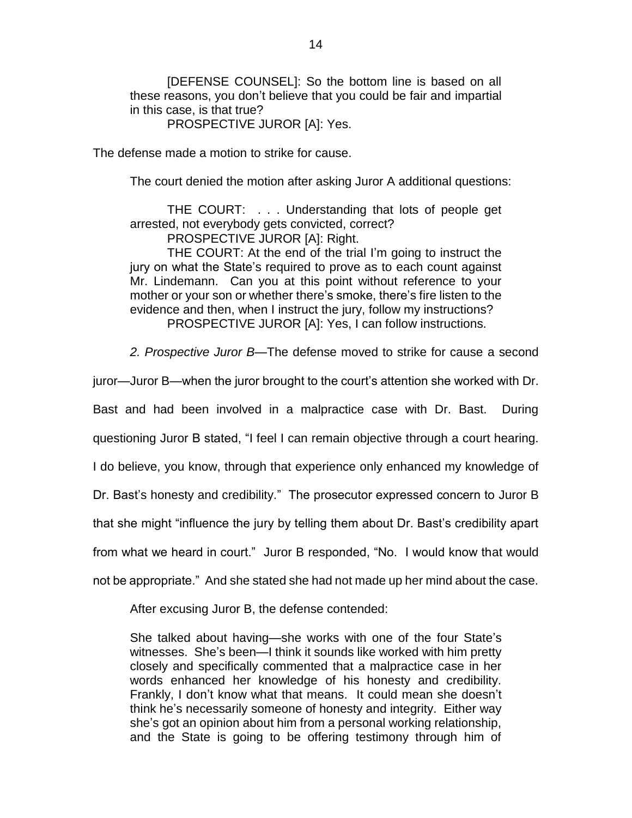[DEFENSE COUNSEL]: So the bottom line is based on all these reasons, you don't believe that you could be fair and impartial in this case, is that true?

PROSPECTIVE JUROR [A]: Yes.

The defense made a motion to strike for cause.

The court denied the motion after asking Juror A additional questions:

THE COURT: . . . Understanding that lots of people get arrested, not everybody gets convicted, correct?

PROSPECTIVE JUROR [A]: Right.

THE COURT: At the end of the trial I'm going to instruct the jury on what the State's required to prove as to each count against Mr. Lindemann. Can you at this point without reference to your mother or your son or whether there's smoke, there's fire listen to the evidence and then, when I instruct the jury, follow my instructions? PROSPECTIVE JUROR [A]: Yes, I can follow instructions.

*2. Prospective Juror B—*The defense moved to strike for cause a second

juror—Juror B—when the juror brought to the court's attention she worked with Dr.

Bast and had been involved in a malpractice case with Dr. Bast. During

questioning Juror B stated, "I feel I can remain objective through a court hearing.

I do believe, you know, through that experience only enhanced my knowledge of

Dr. Bast's honesty and credibility." The prosecutor expressed concern to Juror B

that she might "influence the jury by telling them about Dr. Bast's credibility apart

from what we heard in court." Juror B responded, "No. I would know that would

not be appropriate." And she stated she had not made up her mind about the case.

After excusing Juror B, the defense contended:

She talked about having—she works with one of the four State's witnesses. She's been—I think it sounds like worked with him pretty closely and specifically commented that a malpractice case in her words enhanced her knowledge of his honesty and credibility. Frankly, I don't know what that means. It could mean she doesn't think he's necessarily someone of honesty and integrity. Either way she's got an opinion about him from a personal working relationship, and the State is going to be offering testimony through him of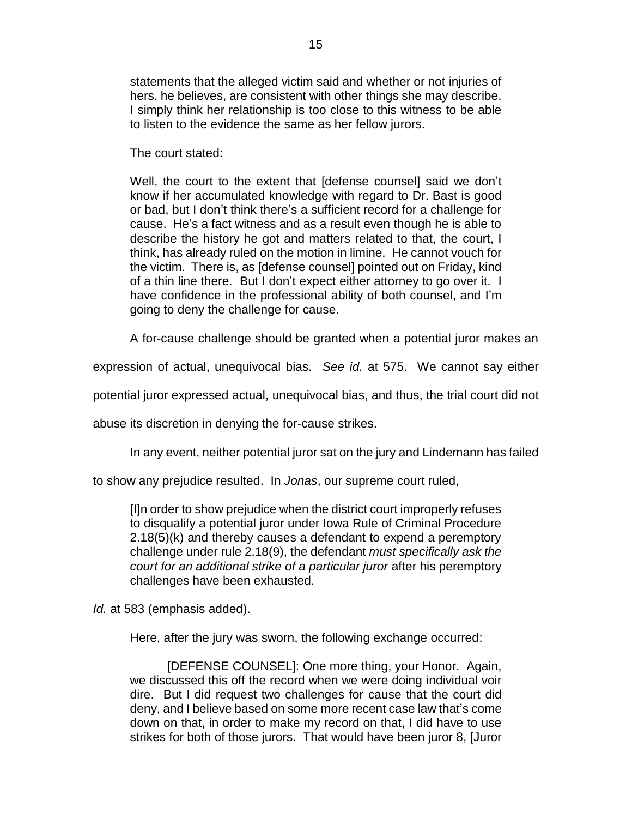statements that the alleged victim said and whether or not injuries of hers, he believes, are consistent with other things she may describe. I simply think her relationship is too close to this witness to be able to listen to the evidence the same as her fellow jurors.

The court stated:

Well, the court to the extent that [defense counsel] said we don't know if her accumulated knowledge with regard to Dr. Bast is good or bad, but I don't think there's a sufficient record for a challenge for cause. He's a fact witness and as a result even though he is able to describe the history he got and matters related to that, the court, I think, has already ruled on the motion in limine. He cannot vouch for the victim. There is, as [defense counsel] pointed out on Friday, kind of a thin line there. But I don't expect either attorney to go over it. I have confidence in the professional ability of both counsel, and I'm going to deny the challenge for cause.

A for-cause challenge should be granted when a potential juror makes an

expression of actual, unequivocal bias. *See id.* at 575. We cannot say either

potential juror expressed actual, unequivocal bias, and thus, the trial court did not

abuse its discretion in denying the for-cause strikes.

In any event, neither potential juror sat on the jury and Lindemann has failed

to show any prejudice resulted. In *Jonas*, our supreme court ruled,

[I]n order to show prejudice when the district court improperly refuses to disqualify a potential juror under Iowa Rule of Criminal Procedure 2.18(5)(k) and thereby causes a defendant to expend a peremptory challenge under rule 2.18(9), the defendant *must specifically ask the court for an additional strike of a particular juror* after his peremptory challenges have been exhausted.

*Id.* at 583 (emphasis added).

Here, after the jury was sworn, the following exchange occurred:

[DEFENSE COUNSEL]: One more thing, your Honor. Again, we discussed this off the record when we were doing individual voir dire. But I did request two challenges for cause that the court did deny, and I believe based on some more recent case law that's come down on that, in order to make my record on that, I did have to use strikes for both of those jurors. That would have been juror 8, [Juror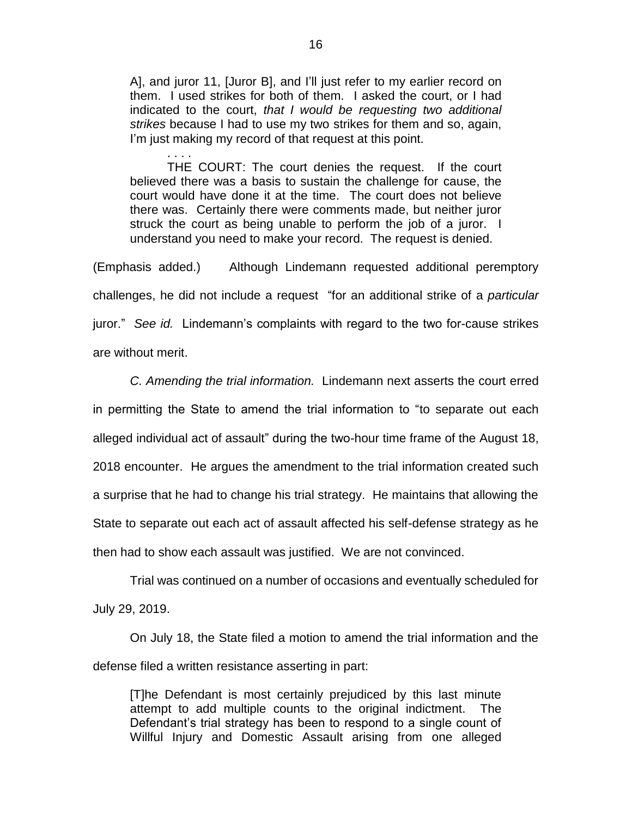A], and juror 11, [Juror B], and I'll just refer to my earlier record on them. I used strikes for both of them. I asked the court, or I had indicated to the court, *that I would be requesting two additional strikes* because I had to use my two strikes for them and so, again, I'm just making my record of that request at this point.

. . . . THE COURT: The court denies the request. If the court believed there was a basis to sustain the challenge for cause, the court would have done it at the time. The court does not believe there was. Certainly there were comments made, but neither juror struck the court as being unable to perform the job of a juror. I understand you need to make your record. The request is denied.

(Emphasis added.) Although Lindemann requested additional peremptory challenges, he did not include a request "for an additional strike of a *particular* juror." *See id.* Lindemann's complaints with regard to the two for-cause strikes are without merit.

*C. Amending the trial information.* Lindemann next asserts the court erred in permitting the State to amend the trial information to "to separate out each alleged individual act of assault" during the two-hour time frame of the August 18, 2018 encounter. He argues the amendment to the trial information created such a surprise that he had to change his trial strategy. He maintains that allowing the State to separate out each act of assault affected his self-defense strategy as he then had to show each assault was justified. We are not convinced.

Trial was continued on a number of occasions and eventually scheduled for July 29, 2019.

On July 18, the State filed a motion to amend the trial information and the defense filed a written resistance asserting in part:

[T]he Defendant is most certainly prejudiced by this last minute attempt to add multiple counts to the original indictment. The Defendant's trial strategy has been to respond to a single count of Willful Injury and Domestic Assault arising from one alleged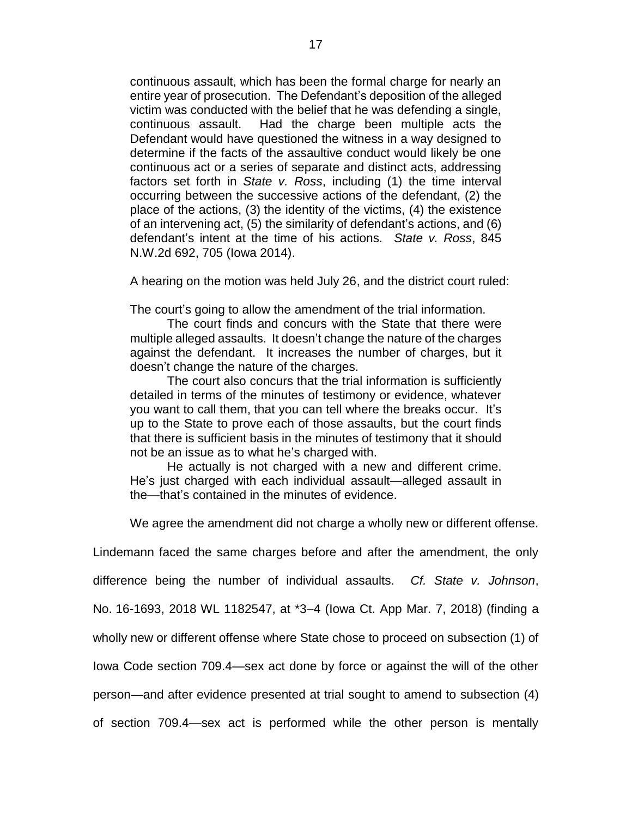continuous assault, which has been the formal charge for nearly an entire year of prosecution. The Defendant's deposition of the alleged victim was conducted with the belief that he was defending a single, continuous assault. Had the charge been multiple acts the Defendant would have questioned the witness in a way designed to determine if the facts of the assaultive conduct would likely be one continuous act or a series of separate and distinct acts, addressing factors set forth in *State v. Ross*, including (1) the time interval occurring between the successive actions of the defendant, (2) the place of the actions, (3) the identity of the victims, (4) the existence of an intervening act, (5) the similarity of defendant's actions, and (6) defendant's intent at the time of his actions. *State v. Ross*, 845 N.W.2d 692, 705 (Iowa 2014).

A hearing on the motion was held July 26, and the district court ruled:

The court's going to allow the amendment of the trial information.

The court finds and concurs with the State that there were multiple alleged assaults. It doesn't change the nature of the charges against the defendant. It increases the number of charges, but it doesn't change the nature of the charges.

The court also concurs that the trial information is sufficiently detailed in terms of the minutes of testimony or evidence, whatever you want to call them, that you can tell where the breaks occur. It's up to the State to prove each of those assaults, but the court finds that there is sufficient basis in the minutes of testimony that it should not be an issue as to what he's charged with.

He actually is not charged with a new and different crime. He's just charged with each individual assault—alleged assault in the—that's contained in the minutes of evidence.

We agree the amendment did not charge a wholly new or different offense.

Lindemann faced the same charges before and after the amendment, the only

difference being the number of individual assaults. *Cf. State v. Johnson*,

No. 16-1693, 2018 WL 1182547, at \*3–4 (Iowa Ct. App Mar. 7, 2018) (finding a

wholly new or different offense where State chose to proceed on subsection (1) of

Iowa Code section 709.4—sex act done by force or against the will of the other

person—and after evidence presented at trial sought to amend to subsection (4)

of section 709.4—sex act is performed while the other person is mentally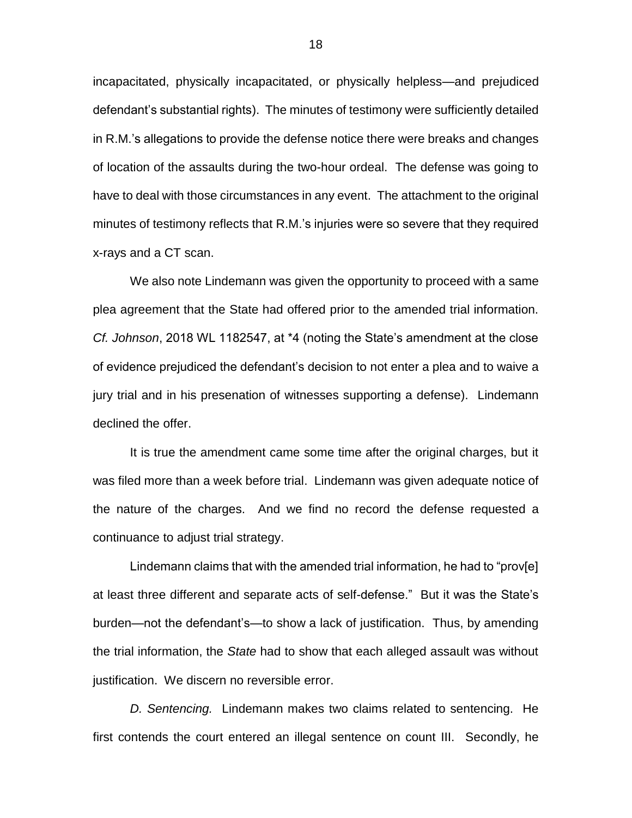incapacitated, physically incapacitated, or physically helpless—and prejudiced defendant's substantial rights). The minutes of testimony were sufficiently detailed in R.M.'s allegations to provide the defense notice there were breaks and changes of location of the assaults during the two-hour ordeal. The defense was going to have to deal with those circumstances in any event. The attachment to the original minutes of testimony reflects that R.M.'s injuries were so severe that they required x-rays and a CT scan.

We also note Lindemann was given the opportunity to proceed with a same plea agreement that the State had offered prior to the amended trial information. *Cf. Johnson*, 2018 WL 1182547, at \*4 (noting the State's amendment at the close of evidence prejudiced the defendant's decision to not enter a plea and to waive a jury trial and in his presenation of witnesses supporting a defense). Lindemann declined the offer.

It is true the amendment came some time after the original charges, but it was filed more than a week before trial. Lindemann was given adequate notice of the nature of the charges. And we find no record the defense requested a continuance to adjust trial strategy.

Lindemann claims that with the amended trial information, he had to "prov[e] at least three different and separate acts of self-defense." But it was the State's burden—not the defendant's—to show a lack of justification. Thus, by amending the trial information, the *State* had to show that each alleged assault was without justification. We discern no reversible error.

*D. Sentencing.* Lindemann makes two claims related to sentencing. He first contends the court entered an illegal sentence on count III. Secondly, he